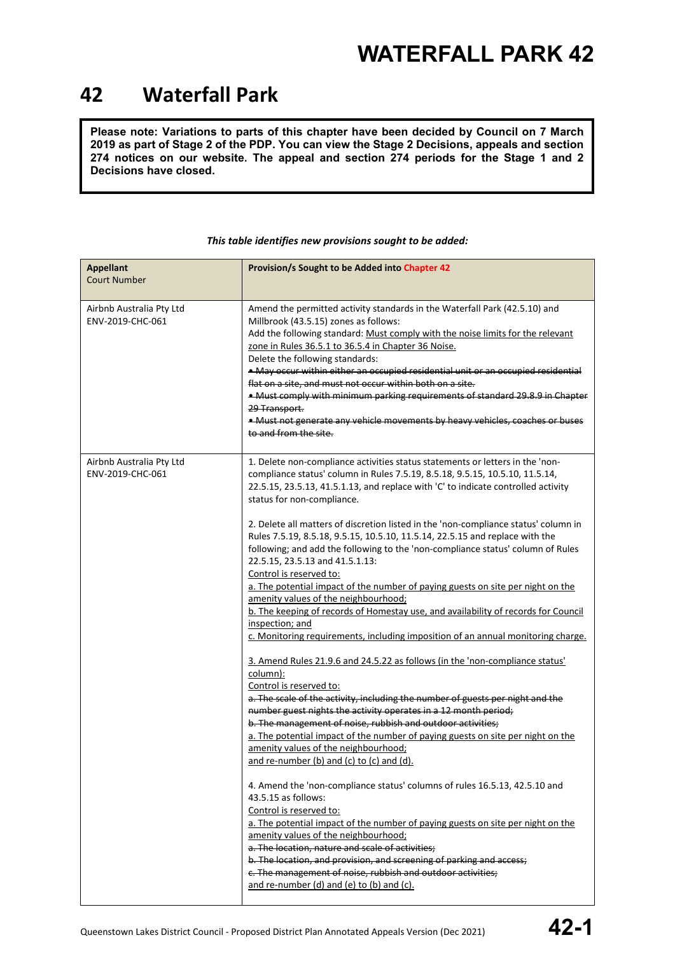### **42 Waterfall Park**

**Please note: Variations to parts of this chapter have been decided by Council on 7 March 2019 as part of Stage 2 of the PDP. You can view the Stage 2 Decisions, appeals and section 274 notices on our website. The appeal and section 274 periods for the Stage 1 and 2 Decisions have closed.**

| <b>Appellant</b><br><b>Court Number</b>      | Provision/s Sought to be Added into Chapter 42                                                                                                                                                                                                                                                                                                                                                                                                                                                                                                                                                                                                                                                                                                                                                                                                                                                                                                                                                                                                                                                                                                                                                                                                                                                                                                                                                                                                                                                                                                                                                                                                                                                                                                                                                                                                                                                                                                         |
|----------------------------------------------|--------------------------------------------------------------------------------------------------------------------------------------------------------------------------------------------------------------------------------------------------------------------------------------------------------------------------------------------------------------------------------------------------------------------------------------------------------------------------------------------------------------------------------------------------------------------------------------------------------------------------------------------------------------------------------------------------------------------------------------------------------------------------------------------------------------------------------------------------------------------------------------------------------------------------------------------------------------------------------------------------------------------------------------------------------------------------------------------------------------------------------------------------------------------------------------------------------------------------------------------------------------------------------------------------------------------------------------------------------------------------------------------------------------------------------------------------------------------------------------------------------------------------------------------------------------------------------------------------------------------------------------------------------------------------------------------------------------------------------------------------------------------------------------------------------------------------------------------------------------------------------------------------------------------------------------------------------|
| Airbnb Australia Pty Ltd<br>ENV-2019-CHC-061 | Amend the permitted activity standards in the Waterfall Park (42.5.10) and<br>Millbrook (43.5.15) zones as follows:<br>Add the following standard: Must comply with the noise limits for the relevant<br>zone in Rules 36.5.1 to 36.5.4 in Chapter 36 Noise.<br>Delete the following standards:<br>. May occur within either an occupied residential unit or an occupied residential<br>flat on a site, and must not occur within both on a site.<br>. Must comply with minimum parking requirements of standard 29.8.9 in Chapter<br>29 Transport.<br>. Must not generate any vehicle movements by heavy vehicles, coaches or buses<br>to and from the site.                                                                                                                                                                                                                                                                                                                                                                                                                                                                                                                                                                                                                                                                                                                                                                                                                                                                                                                                                                                                                                                                                                                                                                                                                                                                                          |
| Airbnb Australia Pty Ltd<br>ENV-2019-CHC-061 | 1. Delete non-compliance activities status statements or letters in the 'non-<br>compliance status' column in Rules 7.5.19, 8.5.18, 9.5.15, 10.5.10, 11.5.14,<br>22.5.15, 23.5.13, 41.5.1.13, and replace with 'C' to indicate controlled activity<br>status for non-compliance.<br>2. Delete all matters of discretion listed in the 'non-compliance status' column in<br>Rules 7.5.19, 8.5.18, 9.5.15, 10.5.10, 11.5.14, 22.5.15 and replace with the<br>following; and add the following to the 'non-compliance status' column of Rules<br>22.5.15, 23.5.13 and 41.5.1.13:<br>Control is reserved to:<br>a. The potential impact of the number of paying guests on site per night on the<br>amenity values of the neighbourhood;<br>b. The keeping of records of Homestay use, and availability of records for Council<br>inspection; and<br>c. Monitoring requirements, including imposition of an annual monitoring charge.<br>3. Amend Rules 21.9.6 and 24.5.22 as follows (in the 'non-compliance status'<br>column):<br>Control is reserved to:<br>a. The scale of the activity, including the number of guests per night and the<br>number guest nights the activity operates in a 12 month period;<br>b. The management of noise, rubbish and outdoor activities;<br>a. The potential impact of the number of paying guests on site per night on the<br>amenity values of the neighbourhood;<br>and re-number (b) and (c) to (c) and (d).<br>4. Amend the 'non-compliance status' columns of rules 16.5.13, 42.5.10 and<br>43.5.15 as follows:<br>Control is reserved to:<br>a. The potential impact of the number of paying guests on site per night on the<br>amenity values of the neighbourhood;<br>a. The location, nature and scale of activities;<br>b. The location, and provision, and screening of parking and access;<br>c. The management of noise, rubbish and outdoor activities;<br>and re-number (d) and (e) to (b) and (c). |

### *This table identifies new provisions sought to be added:*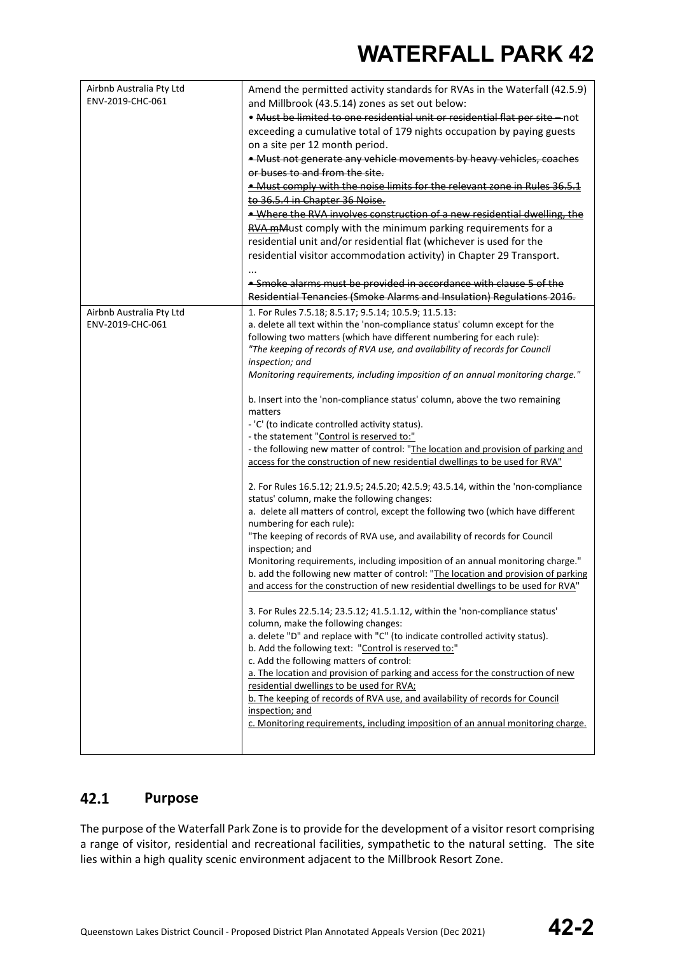| Airbnb Australia Pty Ltd<br>ENV-2019-CHC-061 | Amend the permitted activity standards for RVAs in the Waterfall (42.5.9)<br>and Millbrook (43.5.14) zones as set out below:<br>. Must be limited to one residential unit or residential flat per site - not<br>exceeding a cumulative total of 179 nights occupation by paying guests<br>on a site per 12 month period.<br>• Must not generate any vehicle movements by heavy vehicles, coaches<br>or buses to and from the site.<br>. Must comply with the noise limits for the relevant zone in Rules 36.5.1<br>to 36.5.4 in Chapter 36 Noise.<br>. Where the RVA involves construction of a new residential dwelling, the<br>RVA mMust comply with the minimum parking requirements for a<br>residential unit and/or residential flat (whichever is used for the<br>residential visitor accommodation activity) in Chapter 29 Transport.<br>• Smoke alarms must be provided in accordance with clause 5 of the<br>Residential Tenancies (Smoke Alarms and Insulation) Regulations 2016.                                                                                                                                                                                                                                                                                                                                                                                                                                                                                                                                                                                                                                                                                                                                                                                                                                                                                                                                                                                                                            |
|----------------------------------------------|------------------------------------------------------------------------------------------------------------------------------------------------------------------------------------------------------------------------------------------------------------------------------------------------------------------------------------------------------------------------------------------------------------------------------------------------------------------------------------------------------------------------------------------------------------------------------------------------------------------------------------------------------------------------------------------------------------------------------------------------------------------------------------------------------------------------------------------------------------------------------------------------------------------------------------------------------------------------------------------------------------------------------------------------------------------------------------------------------------------------------------------------------------------------------------------------------------------------------------------------------------------------------------------------------------------------------------------------------------------------------------------------------------------------------------------------------------------------------------------------------------------------------------------------------------------------------------------------------------------------------------------------------------------------------------------------------------------------------------------------------------------------------------------------------------------------------------------------------------------------------------------------------------------------------------------------------------------------------------------------------------------------|
| Airbnb Australia Pty Ltd<br>ENV-2019-CHC-061 | 1. For Rules 7.5.18; 8.5.17; 9.5.14; 10.5.9; 11.5.13:<br>a. delete all text within the 'non-compliance status' column except for the<br>following two matters (which have different numbering for each rule):<br>"The keeping of records of RVA use, and availability of records for Council<br>inspection; and<br>Monitoring requirements, including imposition of an annual monitoring charge."<br>b. Insert into the 'non-compliance status' column, above the two remaining<br>matters<br>- 'C' (to indicate controlled activity status).<br>- the statement "Control is reserved to:"<br>- the following new matter of control: "The location and provision of parking and<br>access for the construction of new residential dwellings to be used for RVA"<br>2. For Rules 16.5.12; 21.9.5; 24.5.20; 42.5.9; 43.5.14, within the 'non-compliance<br>status' column, make the following changes:<br>a. delete all matters of control, except the following two (which have different<br>numbering for each rule):<br>"The keeping of records of RVA use, and availability of records for Council<br>inspection; and<br>Monitoring requirements, including imposition of an annual monitoring charge."<br>b. add the following new matter of control: "The location and provision of parking<br>and access for the construction of new residential dwellings to be used for RVA"<br>3. For Rules 22.5.14; 23.5.12; 41.5.1.12, within the 'non-compliance status'<br>column, make the following changes:<br>a. delete "D" and replace with "C" (to indicate controlled activity status).<br>b. Add the following text: "Control is reserved to:"<br>c. Add the following matters of control:<br>a. The location and provision of parking and access for the construction of new<br>residential dwellings to be used for RVA;<br>b. The keeping of records of RVA use, and availability of records for Council<br>inspection; and<br>c. Monitoring requirements, including imposition of an annual monitoring charge. |

#### $42.1$ **Purpose**

The purpose of the Waterfall Park Zone is to provide for the development of a visitor resort comprising a range of visitor, residential and recreational facilities, sympathetic to the natural setting. The site lies within a high quality scenic environment adjacent to the Millbrook Resort Zone.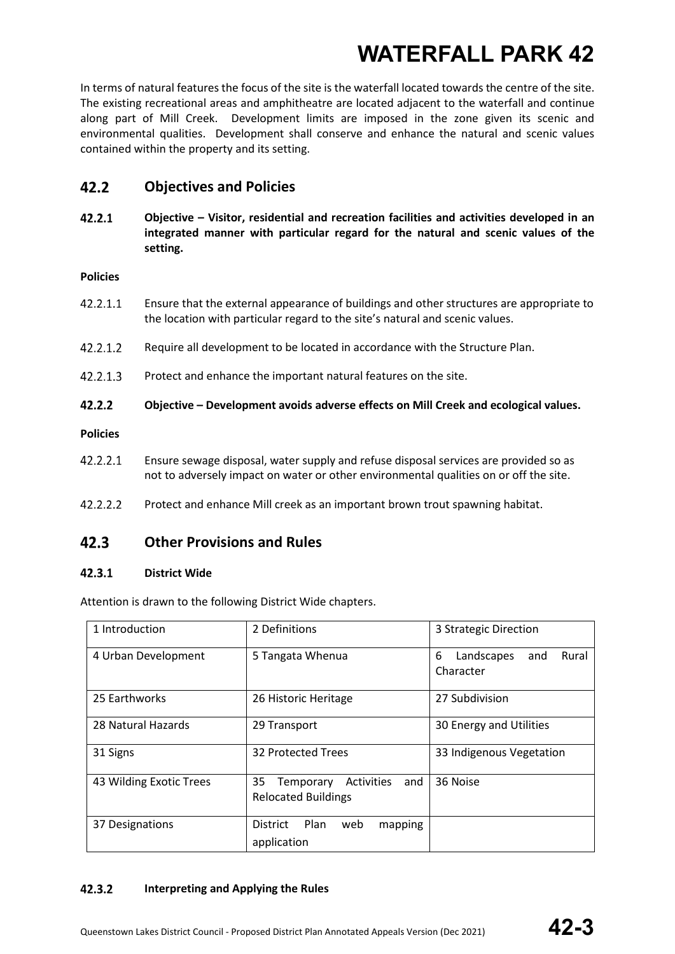In terms of natural features the focus of the site is the waterfall located towards the centre of the site. The existing recreational areas and amphitheatre are located adjacent to the waterfall and continue along part of Mill Creek. Development limits are imposed in the zone given its scenic and environmental qualities. Development shall conserve and enhance the natural and scenic values contained within the property and its setting.

#### $42.2$ **Objectives and Policies**

 $42.2.1$ **Objective – Visitor, residential and recreation facilities and activities developed in an integrated manner with particular regard for the natural and scenic values of the setting.** 

### **Policies**

- 42.2.1.1 Ensure that the external appearance of buildings and other structures are appropriate to the location with particular regard to the site's natural and scenic values.
- 42.2.1.2 Require all development to be located in accordance with the Structure Plan.
- $42.2.1.3$ Protect and enhance the important natural features on the site.
- $42.2.2$ **Objective – Development avoids adverse effects on Mill Creek and ecological values.**

### **Policies**

- 42.2.2.1 Ensure sewage disposal, water supply and refuse disposal services are provided so as not to adversely impact on water or other environmental qualities on or off the site.
- 42.2.2.2 Protect and enhance Mill creek as an important brown trout spawning habitat.

#### **Other Provisions and Rules**  $42.3$

#### $42.3.1$ **District Wide**

Attention is drawn to the following District Wide chapters.

| 1 Introduction          | 2 Definitions                                                      | 3 Strategic Direction                        |
|-------------------------|--------------------------------------------------------------------|----------------------------------------------|
| 4 Urban Development     | 5 Tangata Whenua                                                   | 6<br>Rural<br>Landscapes<br>and<br>Character |
| 25 Earthworks           | 26 Historic Heritage                                               | 27 Subdivision                               |
| 28 Natural Hazards      | 29 Transport                                                       | 30 Energy and Utilities                      |
| 31 Signs                | 32 Protected Trees                                                 | 33 Indigenous Vegetation                     |
| 43 Wilding Exotic Trees | 35<br>and<br>Activities<br>Temporary<br><b>Relocated Buildings</b> | 36 Noise                                     |
| 37 Designations         | Plan<br><b>District</b><br>web<br>mapping<br>application           |                                              |

#### $42.3.2$ **Interpreting and Applying the Rules**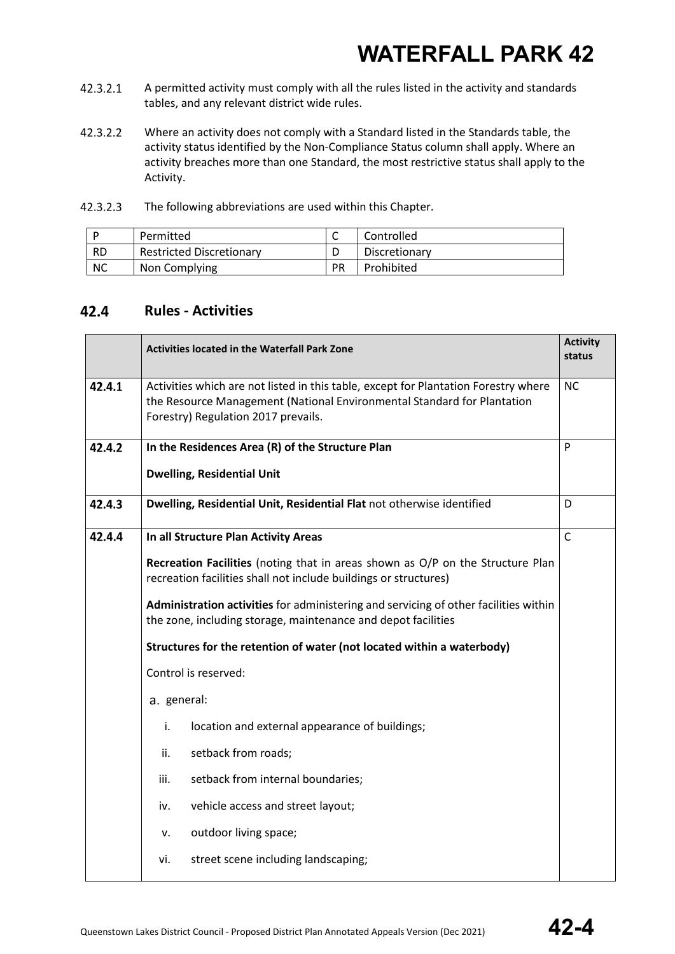- 42.3.2.1 A permitted activity must comply with all the rules listed in the activity and standards tables, and any relevant district wide rules.
- 42.3.2.2 Where an activity does not comply with a Standard listed in the Standards table, the activity status identified by the Non-Compliance Status column shall apply. Where an activity breaches more than one Standard, the most restrictive status shall apply to the Activity.

| 42.3.2.3 | The following abbreviations are used within this Chapter. |
|----------|-----------------------------------------------------------|
|----------|-----------------------------------------------------------|

|           | Permitted                       |    | Controlled    |
|-----------|---------------------------------|----|---------------|
| <b>RD</b> | <b>Restricted Discretionary</b> |    | Discretionary |
| <b>NC</b> | Non Complying                   | PR | Prohibited    |

#### 42.4 **Rules - Activities**

|        | <b>Activity</b><br><b>Activities located in the Waterfall Park Zone</b>                                                                                                                               |              |
|--------|-------------------------------------------------------------------------------------------------------------------------------------------------------------------------------------------------------|--------------|
| 42.4.1 | Activities which are not listed in this table, except for Plantation Forestry where<br>the Resource Management (National Environmental Standard for Plantation<br>Forestry) Regulation 2017 prevails. | <b>NC</b>    |
| 42.4.2 | In the Residences Area (R) of the Structure Plan<br><b>Dwelling, Residential Unit</b>                                                                                                                 | P            |
| 42.4.3 | Dwelling, Residential Unit, Residential Flat not otherwise identified                                                                                                                                 | D            |
| 42.4.4 | In all Structure Plan Activity Areas                                                                                                                                                                  | $\mathsf{C}$ |
|        | Recreation Facilities (noting that in areas shown as O/P on the Structure Plan<br>recreation facilities shall not include buildings or structures)                                                    |              |
|        | Administration activities for administering and servicing of other facilities within<br>the zone, including storage, maintenance and depot facilities                                                 |              |
|        | Structures for the retention of water (not located within a waterbody)                                                                                                                                |              |
|        | Control is reserved:                                                                                                                                                                                  |              |
|        | a. general:                                                                                                                                                                                           |              |
|        | i.<br>location and external appearance of buildings;                                                                                                                                                  |              |
|        | setback from roads;<br>ii.                                                                                                                                                                            |              |
|        | setback from internal boundaries;<br>iii.                                                                                                                                                             |              |
|        | vehicle access and street layout;<br>iv.                                                                                                                                                              |              |
|        | outdoor living space;<br>v.                                                                                                                                                                           |              |
|        | street scene including landscaping;<br>vi.                                                                                                                                                            |              |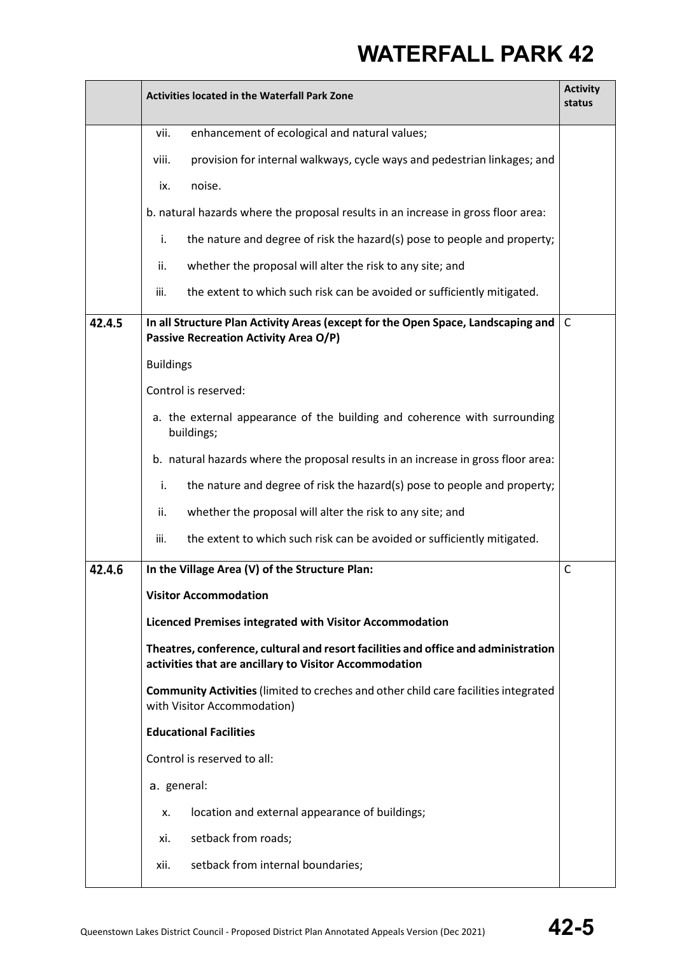|        | <b>Activities located in the Waterfall Park Zone</b>                                                                                         | <b>Activity</b><br>status |
|--------|----------------------------------------------------------------------------------------------------------------------------------------------|---------------------------|
|        | enhancement of ecological and natural values;<br>vii.                                                                                        |                           |
|        | viii.<br>provision for internal walkways, cycle ways and pedestrian linkages; and                                                            |                           |
|        | noise.<br>ix.                                                                                                                                |                           |
|        | b. natural hazards where the proposal results in an increase in gross floor area:                                                            |                           |
|        | the nature and degree of risk the hazard(s) pose to people and property;<br>i.                                                               |                           |
|        | whether the proposal will alter the risk to any site; and<br>ii.                                                                             |                           |
|        | iii.<br>the extent to which such risk can be avoided or sufficiently mitigated.                                                              |                           |
| 42.4.5 | In all Structure Plan Activity Areas (except for the Open Space, Landscaping and<br><b>Passive Recreation Activity Area O/P)</b>             | C                         |
|        | <b>Buildings</b>                                                                                                                             |                           |
|        | Control is reserved:                                                                                                                         |                           |
|        | a. the external appearance of the building and coherence with surrounding<br>buildings;                                                      |                           |
|        | b. natural hazards where the proposal results in an increase in gross floor area:                                                            |                           |
|        | the nature and degree of risk the hazard(s) pose to people and property;<br>i.                                                               |                           |
|        | whether the proposal will alter the risk to any site; and<br>ii.                                                                             |                           |
|        | the extent to which such risk can be avoided or sufficiently mitigated.<br>iii.                                                              |                           |
| 42.4.6 | In the Village Area (V) of the Structure Plan:                                                                                               | $\mathsf{C}$              |
|        | <b>Visitor Accommodation</b>                                                                                                                 |                           |
|        | Licenced Premises integrated with Visitor Accommodation                                                                                      |                           |
|        | Theatres, conference, cultural and resort facilities and office and administration<br>activities that are ancillary to Visitor Accommodation |                           |
|        | Community Activities (limited to creches and other child care facilities integrated<br>with Visitor Accommodation)                           |                           |
|        | <b>Educational Facilities</b>                                                                                                                |                           |
|        | Control is reserved to all:                                                                                                                  |                           |
|        | a. general:                                                                                                                                  |                           |
|        | location and external appearance of buildings;<br>х.                                                                                         |                           |
|        | setback from roads;<br>xi.                                                                                                                   |                           |
|        | setback from internal boundaries;<br>xii.                                                                                                    |                           |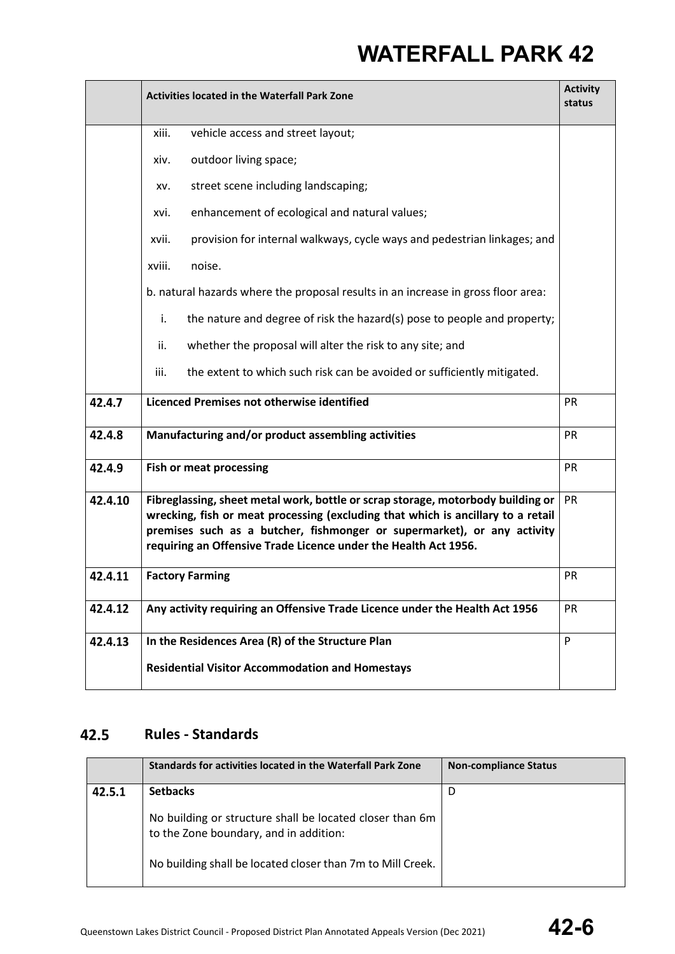|         | <b>Activities located in the Waterfall Park Zone</b>                                                                                                                                                                                                                                                              |           |
|---------|-------------------------------------------------------------------------------------------------------------------------------------------------------------------------------------------------------------------------------------------------------------------------------------------------------------------|-----------|
|         | xiii.<br>vehicle access and street layout;                                                                                                                                                                                                                                                                        |           |
|         | outdoor living space;<br>xiv.                                                                                                                                                                                                                                                                                     |           |
|         | street scene including landscaping;<br>XV.                                                                                                                                                                                                                                                                        |           |
|         | enhancement of ecological and natural values;<br>xvi.                                                                                                                                                                                                                                                             |           |
|         | provision for internal walkways, cycle ways and pedestrian linkages; and<br>xvii.                                                                                                                                                                                                                                 |           |
|         | noise.<br>xviii.                                                                                                                                                                                                                                                                                                  |           |
|         | b. natural hazards where the proposal results in an increase in gross floor area:                                                                                                                                                                                                                                 |           |
|         | the nature and degree of risk the hazard(s) pose to people and property;<br>i.                                                                                                                                                                                                                                    |           |
|         | whether the proposal will alter the risk to any site; and<br>ii.                                                                                                                                                                                                                                                  |           |
|         | iii.<br>the extent to which such risk can be avoided or sufficiently mitigated.                                                                                                                                                                                                                                   |           |
| 42.4.7  | Licenced Premises not otherwise identified                                                                                                                                                                                                                                                                        | PR        |
| 42.4.8  | Manufacturing and/or product assembling activities                                                                                                                                                                                                                                                                | PR        |
| 42.4.9  | <b>Fish or meat processing</b>                                                                                                                                                                                                                                                                                    | PR        |
| 42.4.10 | Fibreglassing, sheet metal work, bottle or scrap storage, motorbody building or<br>wrecking, fish or meat processing (excluding that which is ancillary to a retail<br>premises such as a butcher, fishmonger or supermarket), or any activity<br>requiring an Offensive Trade Licence under the Health Act 1956. | PR        |
| 42.4.11 | <b>Factory Farming</b>                                                                                                                                                                                                                                                                                            | <b>PR</b> |
| 42.4.12 | Any activity requiring an Offensive Trade Licence under the Health Act 1956                                                                                                                                                                                                                                       | <b>PR</b> |
| 42.4.13 | In the Residences Area (R) of the Structure Plan                                                                                                                                                                                                                                                                  | P         |
|         | <b>Residential Visitor Accommodation and Homestays</b>                                                                                                                                                                                                                                                            |           |

#### 42.5 **Rules - Standards**

|        | Standards for activities located in the Waterfall Park Zone                                        | <b>Non-compliance Status</b> |
|--------|----------------------------------------------------------------------------------------------------|------------------------------|
| 42.5.1 | <b>Setbacks</b>                                                                                    | D                            |
|        | No building or structure shall be located closer than 6m<br>to the Zone boundary, and in addition: |                              |
|        | No building shall be located closer than 7m to Mill Creek.                                         |                              |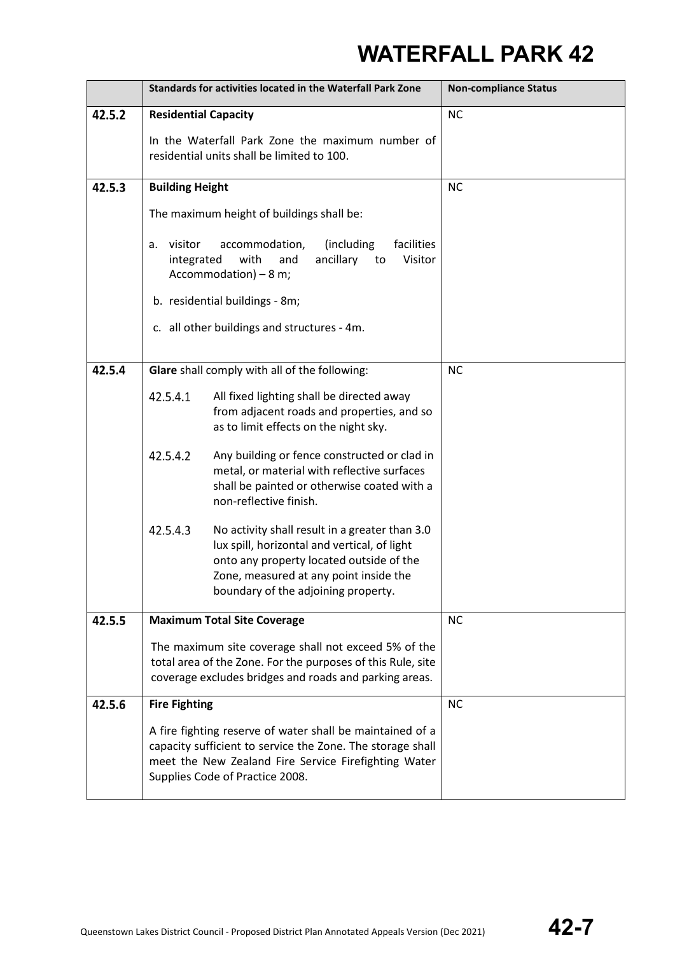|        | Standards for activities located in the Waterfall Park Zone                                                                                                                                                        |                                                                                                                                                                                                                             | <b>Non-compliance Status</b> |
|--------|--------------------------------------------------------------------------------------------------------------------------------------------------------------------------------------------------------------------|-----------------------------------------------------------------------------------------------------------------------------------------------------------------------------------------------------------------------------|------------------------------|
| 42.5.2 | <b>Residential Capacity</b>                                                                                                                                                                                        |                                                                                                                                                                                                                             | <b>NC</b>                    |
|        |                                                                                                                                                                                                                    | In the Waterfall Park Zone the maximum number of<br>residential units shall be limited to 100.                                                                                                                              |                              |
| 42.5.3 | <b>Building Height</b>                                                                                                                                                                                             |                                                                                                                                                                                                                             | <b>NC</b>                    |
|        |                                                                                                                                                                                                                    | The maximum height of buildings shall be:                                                                                                                                                                                   |                              |
|        | visitor<br>а.<br>integrated                                                                                                                                                                                        | (including<br>facilities<br>accommodation,<br>with<br>ancillary<br>Visitor<br>and<br>to<br>Accommodation) - 8 m;                                                                                                            |                              |
|        |                                                                                                                                                                                                                    | b. residential buildings - 8m;                                                                                                                                                                                              |                              |
|        |                                                                                                                                                                                                                    | c. all other buildings and structures - 4m.                                                                                                                                                                                 |                              |
| 42.5.4 |                                                                                                                                                                                                                    | Glare shall comply with all of the following:                                                                                                                                                                               | <b>NC</b>                    |
|        | 42.5.4.1                                                                                                                                                                                                           | All fixed lighting shall be directed away<br>from adjacent roads and properties, and so<br>as to limit effects on the night sky.                                                                                            |                              |
|        | 42.5.4.2                                                                                                                                                                                                           | Any building or fence constructed or clad in<br>metal, or material with reflective surfaces<br>shall be painted or otherwise coated with a<br>non-reflective finish.                                                        |                              |
|        | 42.5.4.3                                                                                                                                                                                                           | No activity shall result in a greater than 3.0<br>lux spill, horizontal and vertical, of light<br>onto any property located outside of the<br>Zone, measured at any point inside the<br>boundary of the adjoining property. |                              |
| 42.5.5 |                                                                                                                                                                                                                    | <b>Maximum Total Site Coverage</b>                                                                                                                                                                                          | <b>NC</b>                    |
|        | The maximum site coverage shall not exceed 5% of the<br>total area of the Zone. For the purposes of this Rule, site<br>coverage excludes bridges and roads and parking areas.                                      |                                                                                                                                                                                                                             |                              |
| 42.5.6 | <b>Fire Fighting</b>                                                                                                                                                                                               |                                                                                                                                                                                                                             | <b>NC</b>                    |
|        | A fire fighting reserve of water shall be maintained of a<br>capacity sufficient to service the Zone. The storage shall<br>meet the New Zealand Fire Service Firefighting Water<br>Supplies Code of Practice 2008. |                                                                                                                                                                                                                             |                              |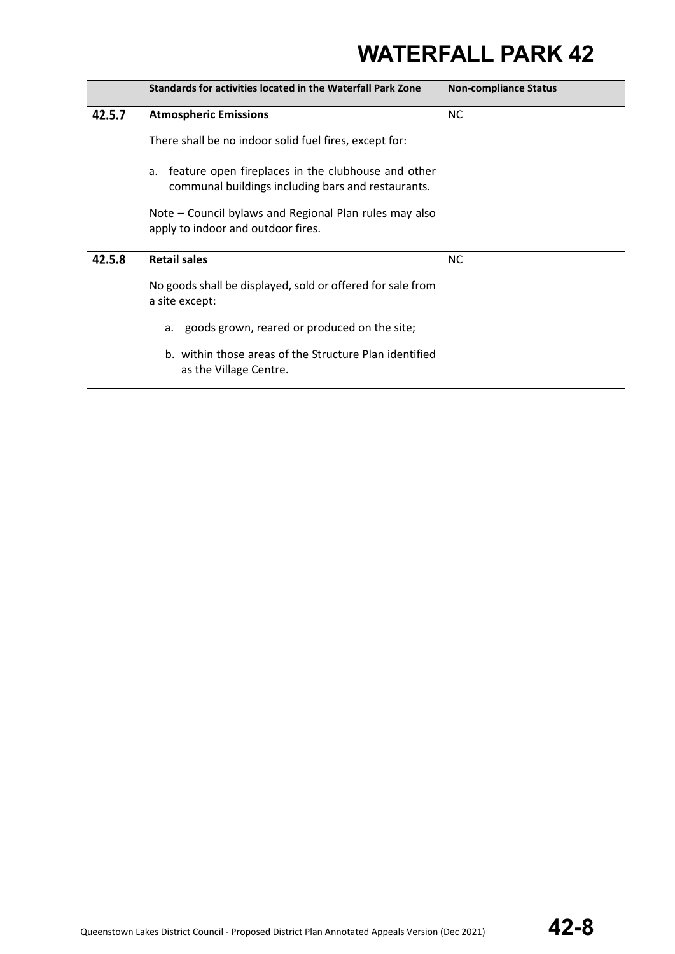|        | Standards for activities located in the Waterfall Park Zone                                                    | <b>Non-compliance Status</b> |
|--------|----------------------------------------------------------------------------------------------------------------|------------------------------|
| 42.5.7 | <b>Atmospheric Emissions</b>                                                                                   | <b>NC</b>                    |
|        | There shall be no indoor solid fuel fires, except for:                                                         |                              |
|        | feature open fireplaces in the clubhouse and other<br>a.<br>communal buildings including bars and restaurants. |                              |
|        | Note – Council bylaws and Regional Plan rules may also<br>apply to indoor and outdoor fires.                   |                              |
| 42.5.8 | <b>Retail sales</b>                                                                                            | <b>NC</b>                    |
|        | No goods shall be displayed, sold or offered for sale from<br>a site except:                                   |                              |
|        | a. goods grown, reared or produced on the site;                                                                |                              |
|        | b. within those areas of the Structure Plan identified<br>as the Village Centre.                               |                              |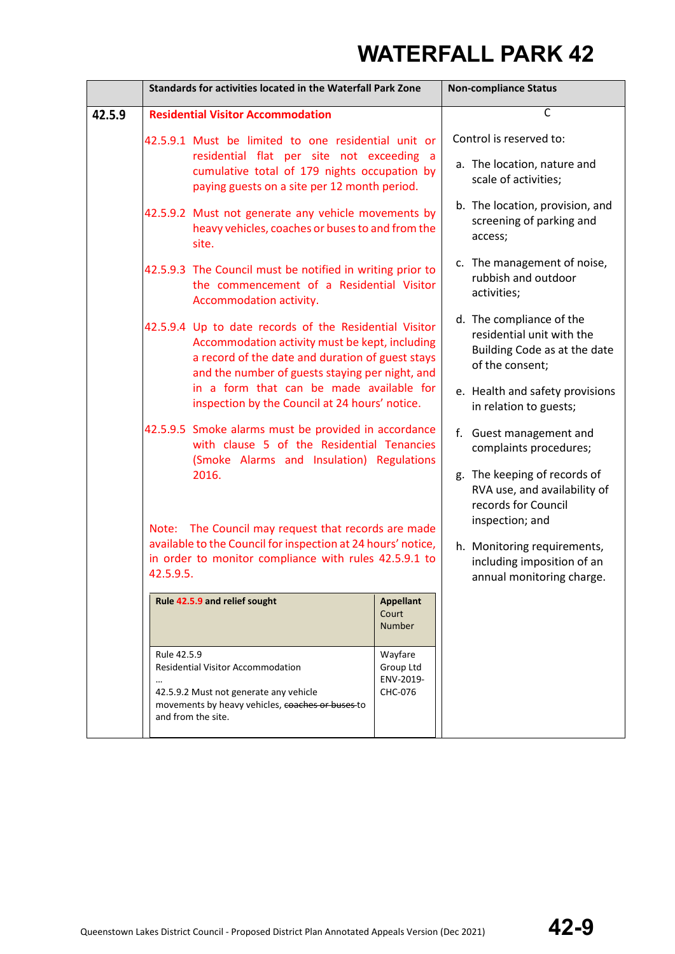|        | Standards for activities located in the Waterfall Park Zone                                                                                                                                        |                                                                                                                                                                  |                                                                                                                                                              | <b>Non-compliance Status</b>                                                   |
|--------|----------------------------------------------------------------------------------------------------------------------------------------------------------------------------------------------------|------------------------------------------------------------------------------------------------------------------------------------------------------------------|--------------------------------------------------------------------------------------------------------------------------------------------------------------|--------------------------------------------------------------------------------|
| 42.5.9 | <b>Residential Visitor Accommodation</b>                                                                                                                                                           |                                                                                                                                                                  |                                                                                                                                                              | $\mathsf C$                                                                    |
|        |                                                                                                                                                                                                    | 42.5.9.1 Must be limited to one residential unit or<br>residential flat per site not exceeding a<br>cumulative total of 179 nights occupation by                 |                                                                                                                                                              | Control is reserved to:<br>a. The location, nature and<br>scale of activities; |
|        |                                                                                                                                                                                                    | paying guests on a site per 12 month period.<br>42.5.9.2 Must not generate any vehicle movements by<br>heavy vehicles, coaches or buses to and from the<br>site. |                                                                                                                                                              | b. The location, provision, and<br>screening of parking and<br>access;         |
|        |                                                                                                                                                                                                    | 42.5.9.3 The Council must be notified in writing prior to<br>the commencement of a Residential Visitor<br>Accommodation activity.                                |                                                                                                                                                              | c. The management of noise,<br>rubbish and outdoor<br>activities;              |
|        |                                                                                                                                                                                                    | and the number of guests staying per night, and                                                                                                                  | 42.5.9.4 Up to date records of the Residential Visitor<br>Accommodation activity must be kept, including<br>a record of the date and duration of guest stays |                                                                                |
|        |                                                                                                                                                                                                    | in a form that can be made available for<br>inspection by the Council at 24 hours' notice.                                                                       |                                                                                                                                                              | e. Health and safety provisions<br>in relation to guests;                      |
|        |                                                                                                                                                                                                    | 42.5.9.5 Smoke alarms must be provided in accordance<br>with clause 5 of the Residential Tenancies<br>(Smoke Alarms and Insulation) Regulations                  |                                                                                                                                                              | f. Guest management and<br>complaints procedures;                              |
|        | 2016.<br>Note: The Council may request that records are made<br>available to the Council for inspection at 24 hours' notice,<br>in order to monitor compliance with rules 42.5.9.1 to<br>42.5.9.5. |                                                                                                                                                                  | g. The keeping of records of<br>RVA use, and availability of<br>records for Council<br>inspection; and                                                       |                                                                                |
|        |                                                                                                                                                                                                    |                                                                                                                                                                  | h. Monitoring requirements,<br>including imposition of an<br>annual monitoring charge.                                                                       |                                                                                |
|        |                                                                                                                                                                                                    | Rule 42.5.9 and relief sought                                                                                                                                    | <b>Appellant</b><br>Court<br><b>Number</b>                                                                                                                   |                                                                                |
|        | Rule 42.5.9                                                                                                                                                                                        | <b>Residential Visitor Accommodation</b>                                                                                                                         | Wayfare<br>Group Ltd<br>ENV-2019-                                                                                                                            |                                                                                |
|        |                                                                                                                                                                                                    | 42.5.9.2 Must not generate any vehicle<br>movements by heavy vehicles, coaches or buses to<br>and from the site.                                                 | CHC-076                                                                                                                                                      |                                                                                |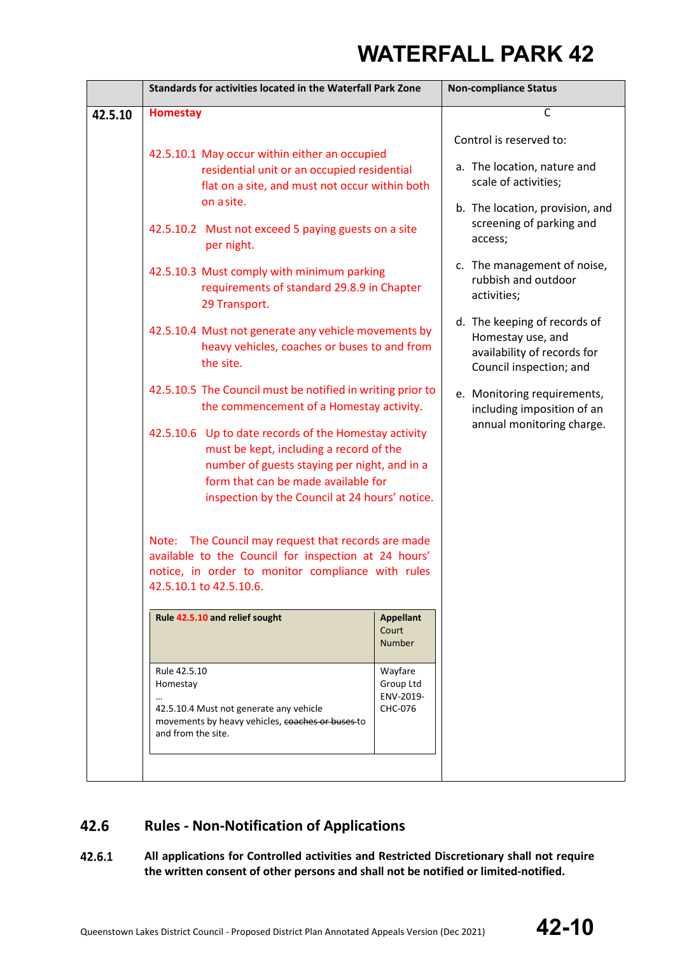|         | Standards for activities located in the Waterfall Park Zone                                                                                                                                                                                                                                                                                                                                                                                                                                                                                        |                                              | <b>Non-compliance Status</b>                                                                                                                                                                          |
|---------|----------------------------------------------------------------------------------------------------------------------------------------------------------------------------------------------------------------------------------------------------------------------------------------------------------------------------------------------------------------------------------------------------------------------------------------------------------------------------------------------------------------------------------------------------|----------------------------------------------|-------------------------------------------------------------------------------------------------------------------------------------------------------------------------------------------------------|
| 42.5.10 | <b>Homestay</b>                                                                                                                                                                                                                                                                                                                                                                                                                                                                                                                                    |                                              | $\mathsf{C}$                                                                                                                                                                                          |
|         | 42.5.10.1 May occur within either an occupied<br>residential unit or an occupied residential<br>flat on a site, and must not occur within both<br>on a site.                                                                                                                                                                                                                                                                                                                                                                                       |                                              | Control is reserved to:<br>a. The location, nature and<br>scale of activities;<br>b. The location, provision, and<br>screening of parking and                                                         |
|         | 42.5.10.2 Must not exceed 5 paying guests on a site<br>per night.                                                                                                                                                                                                                                                                                                                                                                                                                                                                                  |                                              | access;<br>c. The management of noise,                                                                                                                                                                |
|         | 42.5.10.3 Must comply with minimum parking<br>29 Transport.                                                                                                                                                                                                                                                                                                                                                                                                                                                                                        | requirements of standard 29.8.9 in Chapter   |                                                                                                                                                                                                       |
|         | 42.5.10.4 Must not generate any vehicle movements by<br>heavy vehicles, coaches or buses to and from<br>the site.                                                                                                                                                                                                                                                                                                                                                                                                                                  |                                              | d. The keeping of records of<br>Homestay use, and<br>availability of records for<br>Council inspection; and<br>e. Monitoring requirements,<br>including imposition of an<br>annual monitoring charge. |
|         | 42.5.10.5 The Council must be notified in writing prior to<br>the commencement of a Homestay activity.<br>42.5.10.6 Up to date records of the Homestay activity<br>must be kept, including a record of the<br>number of guests staying per night, and in a<br>form that can be made available for<br>inspection by the Council at 24 hours' notice.<br>Note: The Council may request that records are made<br>available to the Council for inspection at 24 hours'<br>notice, in order to monitor compliance with rules<br>42.5.10.1 to 42.5.10.6. |                                              |                                                                                                                                                                                                       |
|         |                                                                                                                                                                                                                                                                                                                                                                                                                                                                                                                                                    |                                              |                                                                                                                                                                                                       |
|         |                                                                                                                                                                                                                                                                                                                                                                                                                                                                                                                                                    |                                              |                                                                                                                                                                                                       |
|         | Rule 42.5.10 and relief sought                                                                                                                                                                                                                                                                                                                                                                                                                                                                                                                     | <b>Appellant</b><br>Court<br><b>Number</b>   |                                                                                                                                                                                                       |
|         | Rule 42.5.10<br>Homestay<br>42.5.10.4 Must not generate any vehicle<br>movements by heavy vehicles, coaches or buses to<br>and from the site.                                                                                                                                                                                                                                                                                                                                                                                                      | Wayfare<br>Group Ltd<br>ENV-2019-<br>CHC-076 |                                                                                                                                                                                                       |
|         |                                                                                                                                                                                                                                                                                                                                                                                                                                                                                                                                                    |                                              |                                                                                                                                                                                                       |

#### **Rules - Non-Notification of Applications** 42.6

### 42.6.1 **All applications for Controlled activities and Restricted Discretionary shall not require the written consent of other persons and shall not be notified or limited-notified.**